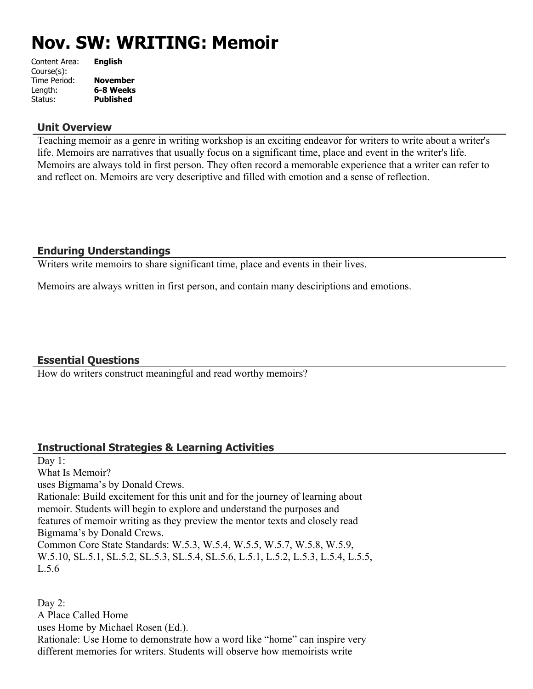# **Nov. SW: WRITING: Memoir**

| <b>English</b>   |
|------------------|
|                  |
| <b>November</b>  |
| 6-8 Weeks        |
| <b>Published</b> |
|                  |

### **Unit Overview**

Teaching memoir as a genre in writing workshop is an exciting endeavor for writers to write about a writer's life. Memoirs are narratives that usually focus on a significant time, place and event in the writer's life. Memoirs are always told in first person. They often record a memorable experience that a writer can refer to and reflect on. Memoirs are very descriptive and filled with emotion and a sense of reflection.

# **Enduring Understandings**

Writers write memoirs to share significant time, place and events in their lives.

Memoirs are always written in first person, and contain many desciriptions and emotions.

# **Essential Questions**

How do writers construct meaningful and read worthy memoirs?

# **Instructional Strategies & Learning Activities**

Day 1: What Is Memoir? uses Bigmama's by Donald Crews. Rationale: Build excitement for this unit and for the journey of learning about memoir. Students will begin to explore and understand the purposes and features of memoir writing as they preview the mentor texts and closely read Bigmama's by Donald Crews. Common Core State Standards: W.5.3, W.5.4, W.5.5, W.5.7, W.5.8, W.5.9, W.5.10, SL.5.1, SL.5.2, SL.5.3, SL.5.4, SL.5.6, L.5.1, L.5.2, L.5.3, L.5.4, L.5.5, L.5.6

Day 2: A Place Called Home uses Home by Michael Rosen (Ed.). Rationale: Use Home to demonstrate how a word like "home" can inspire very different memories for writers. Students will observe how memoirists write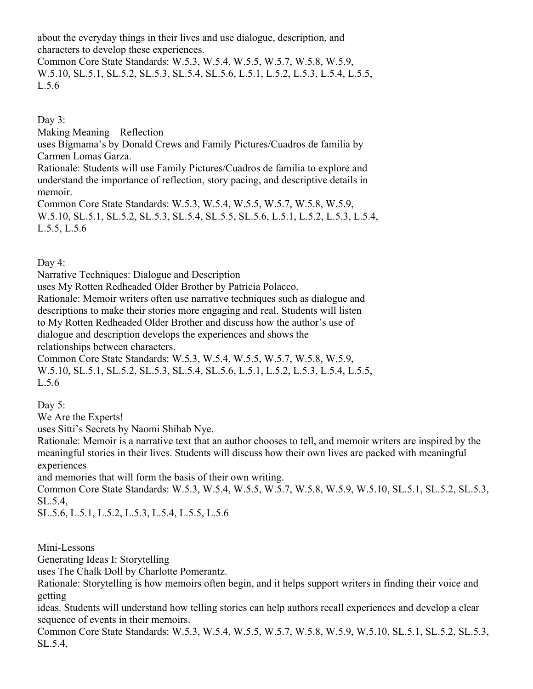about the everyday things in their lives and use dialogue, description, and characters to develop these experiences.

Common Core State Standards: W.5.3, W.5.4, W.5.5, W.5.7, W.5.8, W.5.9, W.5.10, SL.5.1, SL.5.2, SL.5.3, SL.5.4, SL.5.6, L.5.1, L.5.2, L.5.3, L.5.4, L.5.5, L.5.6

Day  $3$ :

Making Meaning – Reflection uses Bigmama's by Donald Crews and Family Pictures/Cuadros de familia by Carmen Lomas Garza. Rationale: Students will use Family Pictures/Cuadros de familia to explore and understand the importance of reflection, story pacing, and descriptive details in memoir.

Common Core State Standards: W.5.3, W.5.4, W.5.5, W.5.7, W.5.8, W.5.9, W.5.10, SL.5.1, SL.5.2, SL.5.3, SL.5.4, SL.5.5, SL.5.6, L.5.1, L.5.2, L.5.3, L.5.4, L.5.5, L.5.6

Day 4:

Narrative Techniques: Dialogue and Description

uses My Rotten Redheaded Older Brother by Patricia Polacco.

Rationale: Memoir writers often use narrative techniques such as dialogue and descriptions to make their stories more engaging and real. Students will listen to My Rotten Redheaded Older Brother and discuss how the author's use of dialogue and description develops the experiences and shows the

relationships between characters.

Common Core State Standards: W.5.3, W.5.4, W.5.5, W.5.7, W.5.8, W.5.9, W.5.10, SL.5.1, SL.5.2, SL.5.3, SL.5.4, SL.5.6, L.5.1, L.5.2, L.5.3, L.5.4, L.5.5, L.5.6

Day 5:

We Are the Experts!

uses Sitti's Secrets by Naomi Shihab Nye.

Rationale: Memoir is a narrative text that an author chooses to tell, and memoir writers are inspired by the meaningful stories in their lives. Students will discuss how their own lives are packed with meaningful experiences

and memories that will form the basis of their own writing.

Common Core State Standards: W.5.3, W.5.4, W.5.5, W.5.7, W.5.8, W.5.9, W.5.10, SL.5.1, SL.5.2, SL.5.3, SL.5.4,

SL.5.6, L.5.1, L.5.2, L.5.3, L.5.4, L.5.5, L.5.6

Mini-Lessons

Generating Ideas I: Storytelling

uses The Chalk Doll by Charlotte Pomerantz.

Rationale: Storytelling is how memoirs often begin, and it helps support writers in finding their voice and getting

ideas. Students will understand how telling stories can help authors recall experiences and develop a clear sequence of events in their memoirs.

Common Core State Standards: W.5.3, W.5.4, W.5.5, W.5.7, W.5.8, W.5.9, W.5.10, SL.5.1, SL.5.2, SL.5.3, SL.5.4,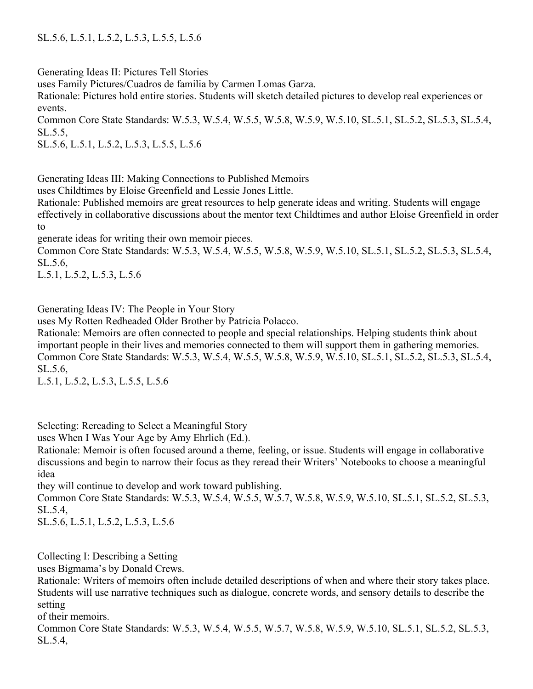Generating Ideas II: Pictures Tell Stories

uses Family Pictures/Cuadros de familia by Carmen Lomas Garza.

Rationale: Pictures hold entire stories. Students will sketch detailed pictures to develop real experiences or events.

Common Core State Standards: W.5.3, W.5.4, W.5.5, W.5.8, W.5.9, W.5.10, SL.5.1, SL.5.2, SL.5.3, SL.5.4, SL.5.5,

SL.5.6, L.5.1, L.5.2, L.5.3, L.5.5, L.5.6

Generating Ideas III: Making Connections to Published Memoirs

uses Childtimes by Eloise Greenfield and Lessie Jones Little.

Rationale: Published memoirs are great resources to help generate ideas and writing. Students will engage effectively in collaborative discussions about the mentor text Childtimes and author Eloise Greenfield in order to

generate ideas for writing their own memoir pieces.

Common Core State Standards: W.5.3, W.5.4, W.5.5, W.5.8, W.5.9, W.5.10, SL.5.1, SL.5.2, SL.5.3, SL.5.4, SL.5.6,

L.5.1, L.5.2, L.5.3, L.5.6

Generating Ideas IV: The People in Your Story

uses My Rotten Redheaded Older Brother by Patricia Polacco.

Rationale: Memoirs are often connected to people and special relationships. Helping students think about important people in their lives and memories connected to them will support them in gathering memories. Common Core State Standards: W.5.3, W.5.4, W.5.5, W.5.8, W.5.9, W.5.10, SL.5.1, SL.5.2, SL.5.3, SL.5.4, SL.5.6,

L.5.1, L.5.2, L.5.3, L.5.5, L.5.6

Selecting: Rereading to Select a Meaningful Story

uses When I Was Your Age by Amy Ehrlich (Ed.).

Rationale: Memoir is often focused around a theme, feeling, or issue. Students will engage in collaborative discussions and begin to narrow their focus as they reread their Writers' Notebooks to choose a meaningful idea

they will continue to develop and work toward publishing.

Common Core State Standards: W.5.3, W.5.4, W.5.5, W.5.7, W.5.8, W.5.9, W.5.10, SL.5.1, SL.5.2, SL.5.3, SL.5.4,

SL.5.6, L.5.1, L.5.2, L.5.3, L.5.6

Collecting I: Describing a Setting

uses Bigmama's by Donald Crews.

Rationale: Writers of memoirs often include detailed descriptions of when and where their story takes place. Students will use narrative techniques such as dialogue, concrete words, and sensory details to describe the setting

of their memoirs.

Common Core State Standards: W.5.3, W.5.4, W.5.5, W.5.7, W.5.8, W.5.9, W.5.10, SL.5.1, SL.5.2, SL.5.3, SL.5.4,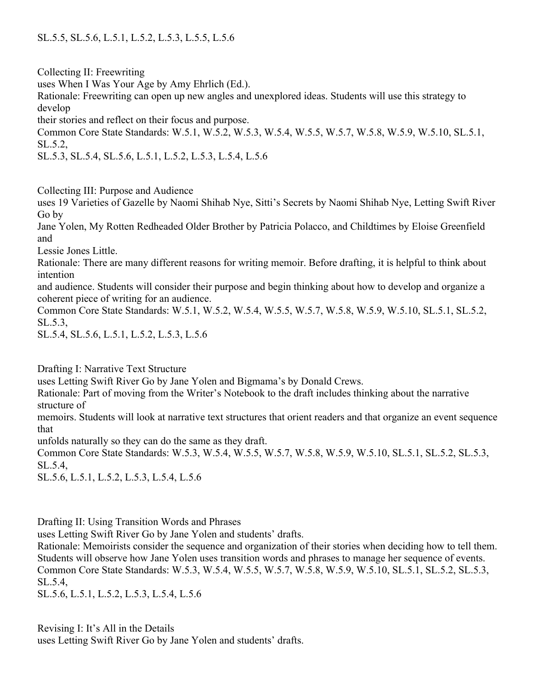Collecting II: Freewriting

uses When I Was Your Age by Amy Ehrlich (Ed.).

Rationale: Freewriting can open up new angles and unexplored ideas. Students will use this strategy to develop

their stories and reflect on their focus and purpose.

Common Core State Standards: W.5.1, W.5.2, W.5.3, W.5.4, W.5.5, W.5.7, W.5.8, W.5.9, W.5.10, SL.5.1, SL.5.2,

SL.5.3, SL.5.4, SL.5.6, L.5.1, L.5.2, L.5.3, L.5.4, L.5.6

Collecting III: Purpose and Audience

uses 19 Varieties of Gazelle by Naomi Shihab Nye, Sitti's Secrets by Naomi Shihab Nye, Letting Swift River Go by

Jane Yolen, My Rotten Redheaded Older Brother by Patricia Polacco, and Childtimes by Eloise Greenfield and

Lessie Jones Little.

Rationale: There are many different reasons for writing memoir. Before drafting, it is helpful to think about intention

and audience. Students will consider their purpose and begin thinking about how to develop and organize a coherent piece of writing for an audience.

Common Core State Standards: W.5.1, W.5.2, W.5.4, W.5.5, W.5.7, W.5.8, W.5.9, W.5.10, SL.5.1, SL.5.2, SL.5.3,

SL.5.4, SL.5.6, L.5.1, L.5.2, L.5.3, L.5.6

Drafting I: Narrative Text Structure

uses Letting Swift River Go by Jane Yolen and Bigmama's by Donald Crews.

Rationale: Part of moving from the Writer's Notebook to the draft includes thinking about the narrative structure of

memoirs. Students will look at narrative text structures that orient readers and that organize an event sequence that

unfolds naturally so they can do the same as they draft.

Common Core State Standards: W.5.3, W.5.4, W.5.5, W.5.7, W.5.8, W.5.9, W.5.10, SL.5.1, SL.5.2, SL.5.3, SL.5.4,

SL.5.6, L.5.1, L.5.2, L.5.3, L.5.4, L.5.6

Drafting II: Using Transition Words and Phrases

uses Letting Swift River Go by Jane Yolen and students' drafts.

Rationale: Memoirists consider the sequence and organization of their stories when deciding how to tell them. Students will observe how Jane Yolen uses transition words and phrases to manage her sequence of events. Common Core State Standards: W.5.3, W.5.4, W.5.5, W.5.7, W.5.8, W.5.9, W.5.10, SL.5.1, SL.5.2, SL.5.3, SL.5.4,

SL.5.6, L.5.1, L.5.2, L.5.3, L.5.4, L.5.6

Revising I: It's All in the Details uses Letting Swift River Go by Jane Yolen and students' drafts.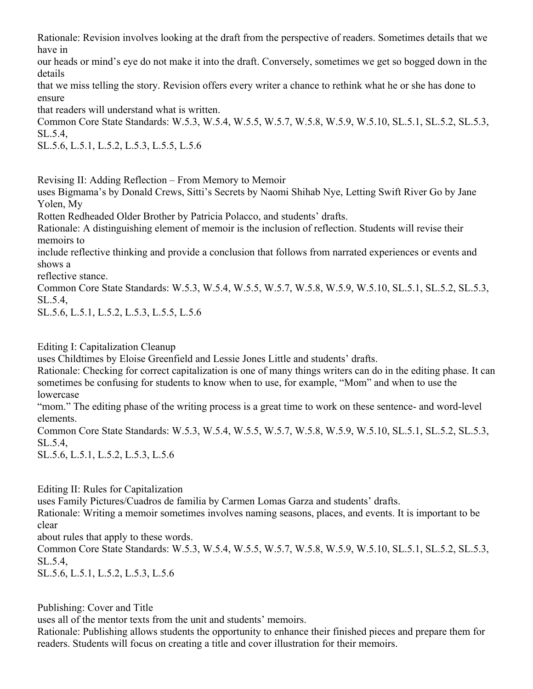Rationale: Revision involves looking at the draft from the perspective of readers. Sometimes details that we have in

our heads or mind's eye do not make it into the draft. Conversely, sometimes we get so bogged down in the details

that we miss telling the story. Revision offers every writer a chance to rethink what he or she has done to ensure

that readers will understand what is written.

Common Core State Standards: W.5.3, W.5.4, W.5.5, W.5.7, W.5.8, W.5.9, W.5.10, SL.5.1, SL.5.2, SL.5.3, SL.5.4,

SL.5.6, L.5.1, L.5.2, L.5.3, L.5.5, L.5.6

Revising II: Adding Reflection – From Memory to Memoir

uses Bigmama's by Donald Crews, Sitti's Secrets by Naomi Shihab Nye, Letting Swift River Go by Jane Yolen, My

Rotten Redheaded Older Brother by Patricia Polacco, and students' drafts.

Rationale: A distinguishing element of memoir is the inclusion of reflection. Students will revise their memoirs to

include reflective thinking and provide a conclusion that follows from narrated experiences or events and shows a

reflective stance.

Common Core State Standards: W.5.3, W.5.4, W.5.5, W.5.7, W.5.8, W.5.9, W.5.10, SL.5.1, SL.5.2, SL.5.3, SL.5.4,

SL.5.6, L.5.1, L.5.2, L.5.3, L.5.5, L.5.6

Editing I: Capitalization Cleanup

uses Childtimes by Eloise Greenfield and Lessie Jones Little and students' drafts.

Rationale: Checking for correct capitalization is one of many things writers can do in the editing phase. It can sometimes be confusing for students to know when to use, for example, "Mom" and when to use the lowercase

"mom." The editing phase of the writing process is a great time to work on these sentence- and word-level elements.

Common Core State Standards: W.5.3, W.5.4, W.5.5, W.5.7, W.5.8, W.5.9, W.5.10, SL.5.1, SL.5.2, SL.5.3, SL.5.4,

SL.5.6, L.5.1, L.5.2, L.5.3, L.5.6

Editing II: Rules for Capitalization

uses Family Pictures/Cuadros de familia by Carmen Lomas Garza and students' drafts.

Rationale: Writing a memoir sometimes involves naming seasons, places, and events. It is important to be clear

about rules that apply to these words.

Common Core State Standards: W.5.3, W.5.4, W.5.5, W.5.7, W.5.8, W.5.9, W.5.10, SL.5.1, SL.5.2, SL.5.3, SL.5.4,

SL.5.6, L.5.1, L.5.2, L.5.3, L.5.6

Publishing: Cover and Title

uses all of the mentor texts from the unit and students' memoirs.

Rationale: Publishing allows students the opportunity to enhance their finished pieces and prepare them for readers. Students will focus on creating a title and cover illustration for their memoirs.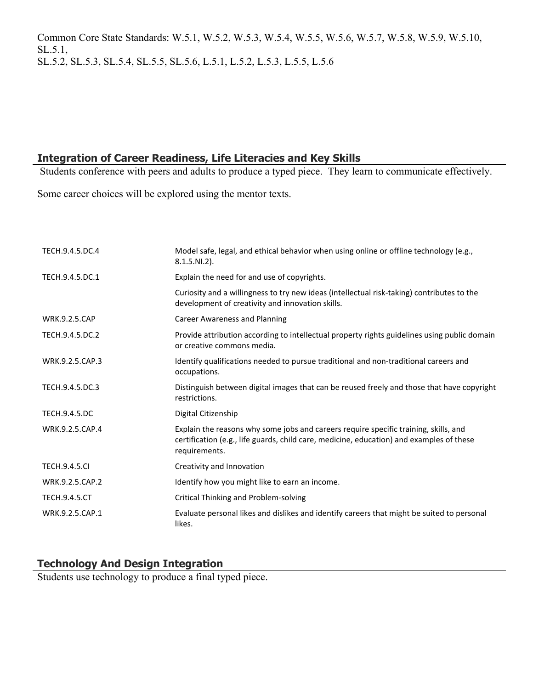Common Core State Standards: W.5.1, W.5.2, W.5.3, W.5.4, W.5.5, W.5.6, W.5.7, W.5.8, W.5.9, W.5.10, SL.5.1, SL.5.2, SL.5.3, SL.5.4, SL.5.5, SL.5.6, L.5.1, L.5.2, L.5.3, L.5.5, L.5.6

# **Integration of Career Readiness, Life Literacies and Key Skills**

Students conference with peers and adults to produce a typed piece. They learn to communicate effectively.

Some career choices will be explored using the mentor texts.

| TECH.9.4.5.DC.4      | Model safe, legal, and ethical behavior when using online or offline technology (e.g.,<br>$8.1.5.NI.2$ ).                                                                                         |
|----------------------|---------------------------------------------------------------------------------------------------------------------------------------------------------------------------------------------------|
| TECH.9.4.5.DC.1      | Explain the need for and use of copyrights.                                                                                                                                                       |
|                      | Curiosity and a willingness to try new ideas (intellectual risk-taking) contributes to the<br>development of creativity and innovation skills.                                                    |
| <b>WRK.9.2.5.CAP</b> | <b>Career Awareness and Planning</b>                                                                                                                                                              |
| TECH.9.4.5.DC.2      | Provide attribution according to intellectual property rights guidelines using public domain<br>or creative commons media.                                                                        |
| WRK.9.2.5.CAP.3      | Identify qualifications needed to pursue traditional and non-traditional careers and<br>occupations.                                                                                              |
| TECH.9.4.5.DC.3      | Distinguish between digital images that can be reused freely and those that have copyright<br>restrictions.                                                                                       |
| <b>TECH.9.4.5.DC</b> | Digital Citizenship                                                                                                                                                                               |
| WRK.9.2.5.CAP.4      | Explain the reasons why some jobs and careers require specific training, skills, and<br>certification (e.g., life guards, child care, medicine, education) and examples of these<br>requirements. |
| <b>TECH.9.4.5.CI</b> | Creativity and Innovation                                                                                                                                                                         |
| WRK.9.2.5.CAP.2      | Identify how you might like to earn an income.                                                                                                                                                    |
| <b>TECH.9.4.5.CT</b> | <b>Critical Thinking and Problem-solving</b>                                                                                                                                                      |
| WRK.9.2.5.CAP.1      | Evaluate personal likes and dislikes and identify careers that might be suited to personal<br>likes.                                                                                              |

# **Technology And Design Integration**

Students use technology to produce a final typed piece.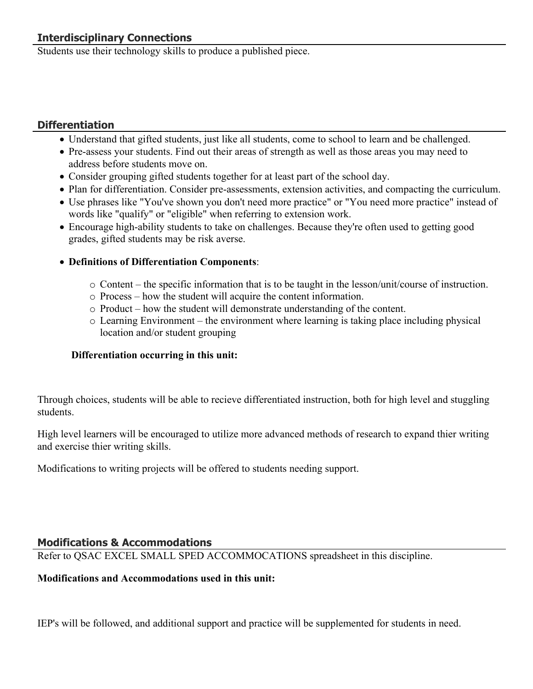Students use their technology skills to produce a published piece.

# **Differentiation**

- Understand that gifted students, just like all students, come to school to learn and be challenged.
- Pre-assess your students. Find out their areas of strength as well as those areas you may need to address before students move on.
- Consider grouping gifted students together for at least part of the school day.
- Plan for differentiation. Consider pre-assessments, extension activities, and compacting the curriculum.
- Use phrases like "You've shown you don't need more practice" or "You need more practice" instead of words like "qualify" or "eligible" when referring to extension work.
- Encourage high-ability students to take on challenges. Because they're often used to getting good grades, gifted students may be risk averse.

# **Definitions of Differentiation Components**:

- o Content the specific information that is to be taught in the lesson/unit/course of instruction.
- o Process how the student will acquire the content information.
- o Product how the student will demonstrate understanding of the content.
- o Learning Environment the environment where learning is taking place including physical location and/or student grouping

# **Differentiation occurring in this unit:**

Through choices, students will be able to recieve differentiated instruction, both for high level and stuggling students.

High level learners will be encouraged to utilize more advanced methods of research to expand thier writing and exercise thier writing skills.

Modifications to writing projects will be offered to students needing support.

# **Modifications & Accommodations**

Refer to QSAC EXCEL SMALL SPED ACCOMMOCATIONS spreadsheet in this discipline.

# **Modifications and Accommodations used in this unit:**

IEP's will be followed, and additional support and practice will be supplemented for students in need.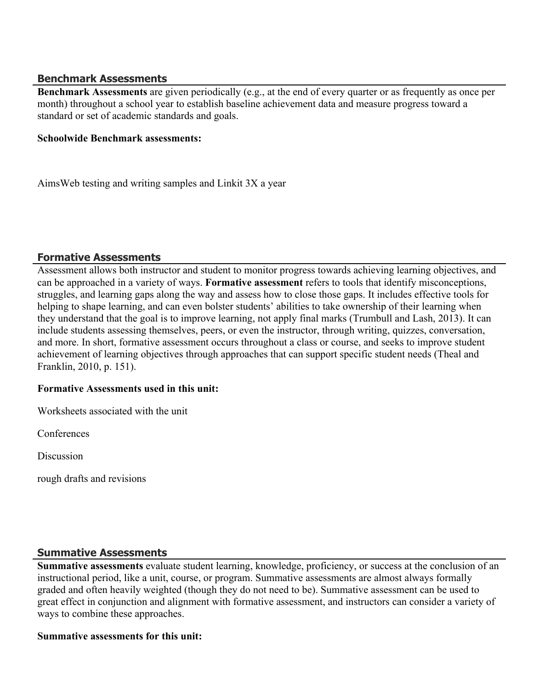## **Benchmark Assessments**

**Benchmark Assessments** are given periodically (e.g., at the end of every quarter or as frequently as once per month) throughout a school year to establish baseline achievement data and measure progress toward a standard or set of academic standards and goals.

#### **Schoolwide Benchmark assessments:**

AimsWeb testing and writing samples and Linkit 3X a year

## **Formative Assessments**

Assessment allows both instructor and student to monitor progress towards achieving learning objectives, and can be approached in a variety of ways. **Formative assessment** refers to tools that identify misconceptions, struggles, and learning gaps along the way and assess how to close those gaps. It includes effective tools for helping to shape learning, and can even bolster students' abilities to take ownership of their learning when they understand that the goal is to improve learning, not apply final marks (Trumbull and Lash, 2013). It can include students assessing themselves, peers, or even the instructor, through writing, quizzes, conversation, and more. In short, formative assessment occurs throughout a class or course, and seeks to improve student achievement of learning objectives through approaches that can support specific student needs (Theal and Franklin, 2010, p. 151).

#### **Formative Assessments used in this unit:**

Worksheets associated with the unit

Conferences

**Discussion** 

rough drafts and revisions

## **Summative Assessments**

**Summative assessments** evaluate student learning, knowledge, proficiency, or success at the conclusion of an instructional period, like a unit, course, or program. Summative assessments are almost always formally graded and often heavily weighted (though they do not need to be). Summative assessment can be used to great effect in conjunction and alignment with formative assessment, and instructors can consider a variety of ways to combine these approaches.

#### **Summative assessments for this unit:**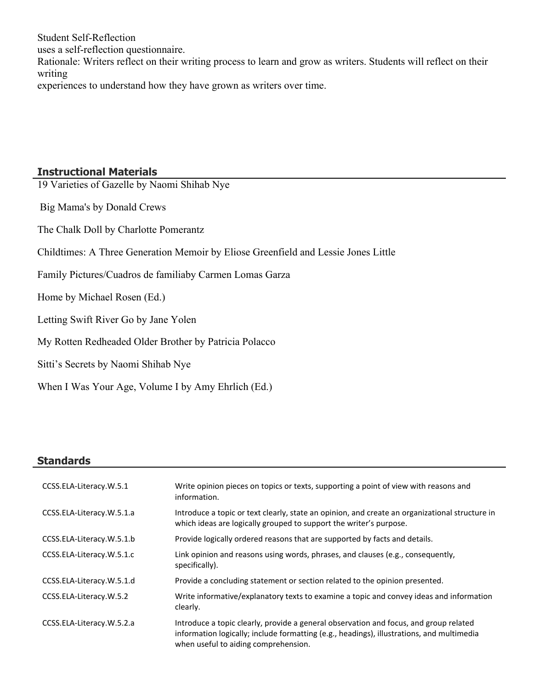Student Self-Reflection

uses a self-reflection questionnaire.

Rationale: Writers reflect on their writing process to learn and grow as writers. Students will reflect on their writing

experiences to understand how they have grown as writers over time.

# **Instructional Materials**

19 Varieties of Gazelle by Naomi Shihab Nye

Big Mama's by Donald Crews

The Chalk Doll by Charlotte Pomerantz

Childtimes: A Three Generation Memoir by Eliose Greenfield and Lessie Jones Little

Family Pictures/Cuadros de familiaby Carmen Lomas Garza

Home by Michael Rosen (Ed.)

Letting Swift River Go by Jane Yolen

My Rotten Redheaded Older Brother by Patricia Polacco

Sitti's Secrets by Naomi Shihab Nye

When I Was Your Age, Volume I by Amy Ehrlich (Ed.)

## **Standards**

| CCSS.ELA-Literacy.W.5.1   | Write opinion pieces on topics or texts, supporting a point of view with reasons and<br>information.                                                                                                                       |
|---------------------------|----------------------------------------------------------------------------------------------------------------------------------------------------------------------------------------------------------------------------|
| CCSS.ELA-Literacy.W.5.1.a | Introduce a topic or text clearly, state an opinion, and create an organizational structure in<br>which ideas are logically grouped to support the writer's purpose.                                                       |
| CCSS.ELA-Literacy.W.5.1.b | Provide logically ordered reasons that are supported by facts and details.                                                                                                                                                 |
| CCSS.ELA-Literacy.W.5.1.c | Link opinion and reasons using words, phrases, and clauses (e.g., consequently,<br>specifically).                                                                                                                          |
| CCSS.ELA-Literacy.W.5.1.d | Provide a concluding statement or section related to the opinion presented.                                                                                                                                                |
| CCSS.ELA-Literacy.W.5.2   | Write informative/explanatory texts to examine a topic and convey ideas and information<br>clearly.                                                                                                                        |
| CCSS.ELA-Literacy.W.5.2.a | Introduce a topic clearly, provide a general observation and focus, and group related<br>information logically; include formatting (e.g., headings), illustrations, and multimedia<br>when useful to aiding comprehension. |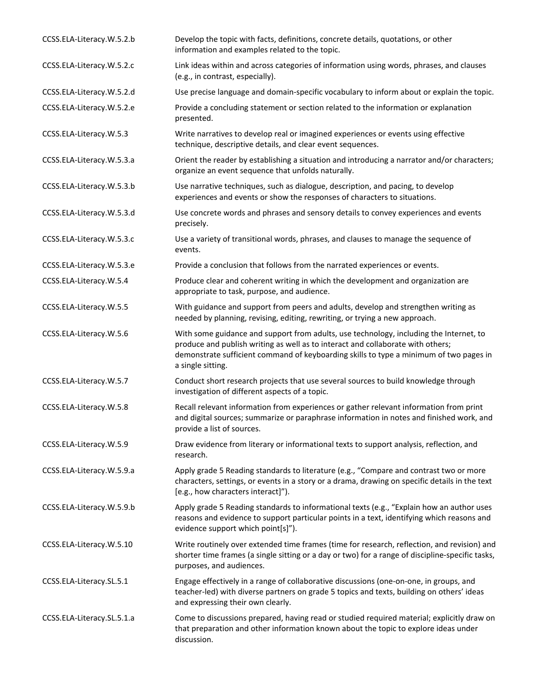| CCSS.ELA-Literacy.W.5.2.b  | Develop the topic with facts, definitions, concrete details, quotations, or other<br>information and examples related to the topic.                                                                                                                                                      |
|----------------------------|------------------------------------------------------------------------------------------------------------------------------------------------------------------------------------------------------------------------------------------------------------------------------------------|
| CCSS.ELA-Literacy.W.5.2.c  | Link ideas within and across categories of information using words, phrases, and clauses<br>(e.g., in contrast, especially).                                                                                                                                                             |
| CCSS.ELA-Literacy.W.5.2.d  | Use precise language and domain-specific vocabulary to inform about or explain the topic.                                                                                                                                                                                                |
| CCSS.ELA-Literacy.W.5.2.e  | Provide a concluding statement or section related to the information or explanation<br>presented.                                                                                                                                                                                        |
| CCSS.ELA-Literacy.W.5.3    | Write narratives to develop real or imagined experiences or events using effective<br>technique, descriptive details, and clear event sequences.                                                                                                                                         |
| CCSS.ELA-Literacy.W.5.3.a  | Orient the reader by establishing a situation and introducing a narrator and/or characters;<br>organize an event sequence that unfolds naturally.                                                                                                                                        |
| CCSS.ELA-Literacy.W.5.3.b  | Use narrative techniques, such as dialogue, description, and pacing, to develop<br>experiences and events or show the responses of characters to situations.                                                                                                                             |
| CCSS.ELA-Literacy.W.5.3.d  | Use concrete words and phrases and sensory details to convey experiences and events<br>precisely.                                                                                                                                                                                        |
| CCSS.ELA-Literacy.W.5.3.c  | Use a variety of transitional words, phrases, and clauses to manage the sequence of<br>events.                                                                                                                                                                                           |
| CCSS.ELA-Literacy.W.5.3.e  | Provide a conclusion that follows from the narrated experiences or events.                                                                                                                                                                                                               |
| CCSS.ELA-Literacy.W.5.4    | Produce clear and coherent writing in which the development and organization are<br>appropriate to task, purpose, and audience.                                                                                                                                                          |
| CCSS.ELA-Literacy.W.5.5    | With guidance and support from peers and adults, develop and strengthen writing as<br>needed by planning, revising, editing, rewriting, or trying a new approach.                                                                                                                        |
| CCSS.ELA-Literacy.W.5.6    | With some guidance and support from adults, use technology, including the Internet, to<br>produce and publish writing as well as to interact and collaborate with others;<br>demonstrate sufficient command of keyboarding skills to type a minimum of two pages in<br>a single sitting. |
| CCSS.ELA-Literacy.W.5.7    | Conduct short research projects that use several sources to build knowledge through<br>investigation of different aspects of a topic.                                                                                                                                                    |
| CCSS.ELA-Literacy.W.5.8    | Recall relevant information from experiences or gather relevant information from print<br>and digital sources; summarize or paraphrase information in notes and finished work, and<br>provide a list of sources.                                                                         |
| CCSS.ELA-Literacy.W.5.9    | Draw evidence from literary or informational texts to support analysis, reflection, and<br>research.                                                                                                                                                                                     |
| CCSS.ELA-Literacy.W.5.9.a  | Apply grade 5 Reading standards to literature (e.g., "Compare and contrast two or more<br>characters, settings, or events in a story or a drama, drawing on specific details in the text<br>[e.g., how characters interact]").                                                           |
| CCSS.ELA-Literacy.W.5.9.b  | Apply grade 5 Reading standards to informational texts (e.g., "Explain how an author uses<br>reasons and evidence to support particular points in a text, identifying which reasons and<br>evidence support which point[s]").                                                            |
| CCSS.ELA-Literacy.W.5.10   | Write routinely over extended time frames (time for research, reflection, and revision) and<br>shorter time frames (a single sitting or a day or two) for a range of discipline-specific tasks,<br>purposes, and audiences.                                                              |
| CCSS.ELA-Literacy.SL.5.1   | Engage effectively in a range of collaborative discussions (one-on-one, in groups, and<br>teacher-led) with diverse partners on grade 5 topics and texts, building on others' ideas<br>and expressing their own clearly.                                                                 |
| CCSS.ELA-Literacy.SL.5.1.a | Come to discussions prepared, having read or studied required material; explicitly draw on<br>that preparation and other information known about the topic to explore ideas under<br>discussion.                                                                                         |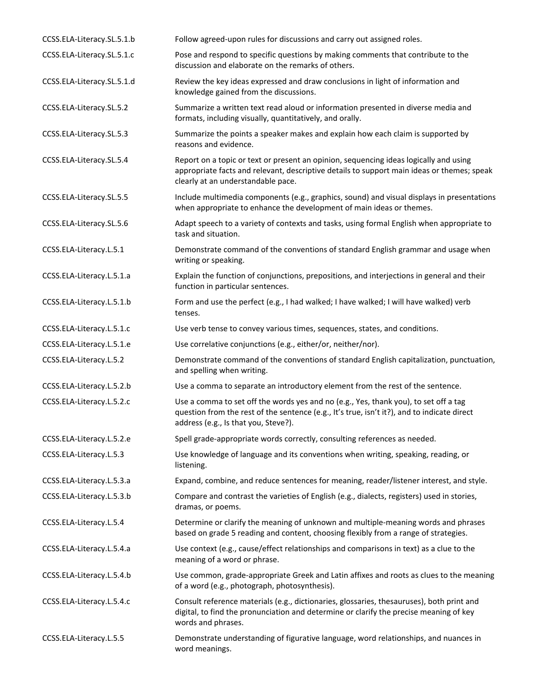| CCSS.ELA-Literacy.SL.5.1.b | Follow agreed-upon rules for discussions and carry out assigned roles.                                                                                                                                                      |
|----------------------------|-----------------------------------------------------------------------------------------------------------------------------------------------------------------------------------------------------------------------------|
| CCSS.ELA-Literacy.SL.5.1.c | Pose and respond to specific questions by making comments that contribute to the<br>discussion and elaborate on the remarks of others.                                                                                      |
| CCSS.ELA-Literacy.SL.5.1.d | Review the key ideas expressed and draw conclusions in light of information and<br>knowledge gained from the discussions.                                                                                                   |
| CCSS.ELA-Literacy.SL.5.2   | Summarize a written text read aloud or information presented in diverse media and<br>formats, including visually, quantitatively, and orally.                                                                               |
| CCSS.ELA-Literacy.SL.5.3   | Summarize the points a speaker makes and explain how each claim is supported by<br>reasons and evidence.                                                                                                                    |
| CCSS.ELA-Literacy.SL.5.4   | Report on a topic or text or present an opinion, sequencing ideas logically and using<br>appropriate facts and relevant, descriptive details to support main ideas or themes; speak<br>clearly at an understandable pace.   |
| CCSS.ELA-Literacy.SL.5.5   | Include multimedia components (e.g., graphics, sound) and visual displays in presentations<br>when appropriate to enhance the development of main ideas or themes.                                                          |
| CCSS.ELA-Literacy.SL.5.6   | Adapt speech to a variety of contexts and tasks, using formal English when appropriate to<br>task and situation.                                                                                                            |
| CCSS.ELA-Literacy.L.5.1    | Demonstrate command of the conventions of standard English grammar and usage when<br>writing or speaking.                                                                                                                   |
| CCSS.ELA-Literacy.L.5.1.a  | Explain the function of conjunctions, prepositions, and interjections in general and their<br>function in particular sentences.                                                                                             |
| CCSS.ELA-Literacy.L.5.1.b  | Form and use the perfect (e.g., I had walked; I have walked; I will have walked) verb<br>tenses.                                                                                                                            |
| CCSS.ELA-Literacy.L.5.1.c  | Use verb tense to convey various times, sequences, states, and conditions.                                                                                                                                                  |
| CCSS.ELA-Literacy.L.5.1.e  | Use correlative conjunctions (e.g., either/or, neither/nor).                                                                                                                                                                |
| CCSS.ELA-Literacy.L.5.2    | Demonstrate command of the conventions of standard English capitalization, punctuation,<br>and spelling when writing.                                                                                                       |
| CCSS.ELA-Literacy.L.5.2.b  | Use a comma to separate an introductory element from the rest of the sentence.                                                                                                                                              |
| CCSS.ELA-Literacy.L.5.2.c  | Use a comma to set off the words yes and no (e.g., Yes, thank you), to set off a tag<br>question from the rest of the sentence (e.g., It's true, isn't it?), and to indicate direct<br>address (e.g., Is that you, Steve?). |
| CCSS.ELA-Literacy.L.5.2.e  | Spell grade-appropriate words correctly, consulting references as needed.                                                                                                                                                   |
| CCSS.ELA-Literacy.L.5.3    | Use knowledge of language and its conventions when writing, speaking, reading, or<br>listening.                                                                                                                             |
| CCSS.ELA-Literacy.L.5.3.a  | Expand, combine, and reduce sentences for meaning, reader/listener interest, and style.                                                                                                                                     |
| CCSS.ELA-Literacy.L.5.3.b  | Compare and contrast the varieties of English (e.g., dialects, registers) used in stories,<br>dramas, or poems.                                                                                                             |
| CCSS.ELA-Literacy.L.5.4    | Determine or clarify the meaning of unknown and multiple-meaning words and phrases<br>based on grade 5 reading and content, choosing flexibly from a range of strategies.                                                   |
| CCSS.ELA-Literacy.L.5.4.a  | Use context (e.g., cause/effect relationships and comparisons in text) as a clue to the<br>meaning of a word or phrase.                                                                                                     |
| CCSS.ELA-Literacy.L.5.4.b  | Use common, grade-appropriate Greek and Latin affixes and roots as clues to the meaning<br>of a word (e.g., photograph, photosynthesis).                                                                                    |
| CCSS.ELA-Literacy.L.5.4.c  | Consult reference materials (e.g., dictionaries, glossaries, thesauruses), both print and<br>digital, to find the pronunciation and determine or clarify the precise meaning of key<br>words and phrases.                   |
| CCSS.ELA-Literacy.L.5.5    | Demonstrate understanding of figurative language, word relationships, and nuances in<br>word meanings.                                                                                                                      |